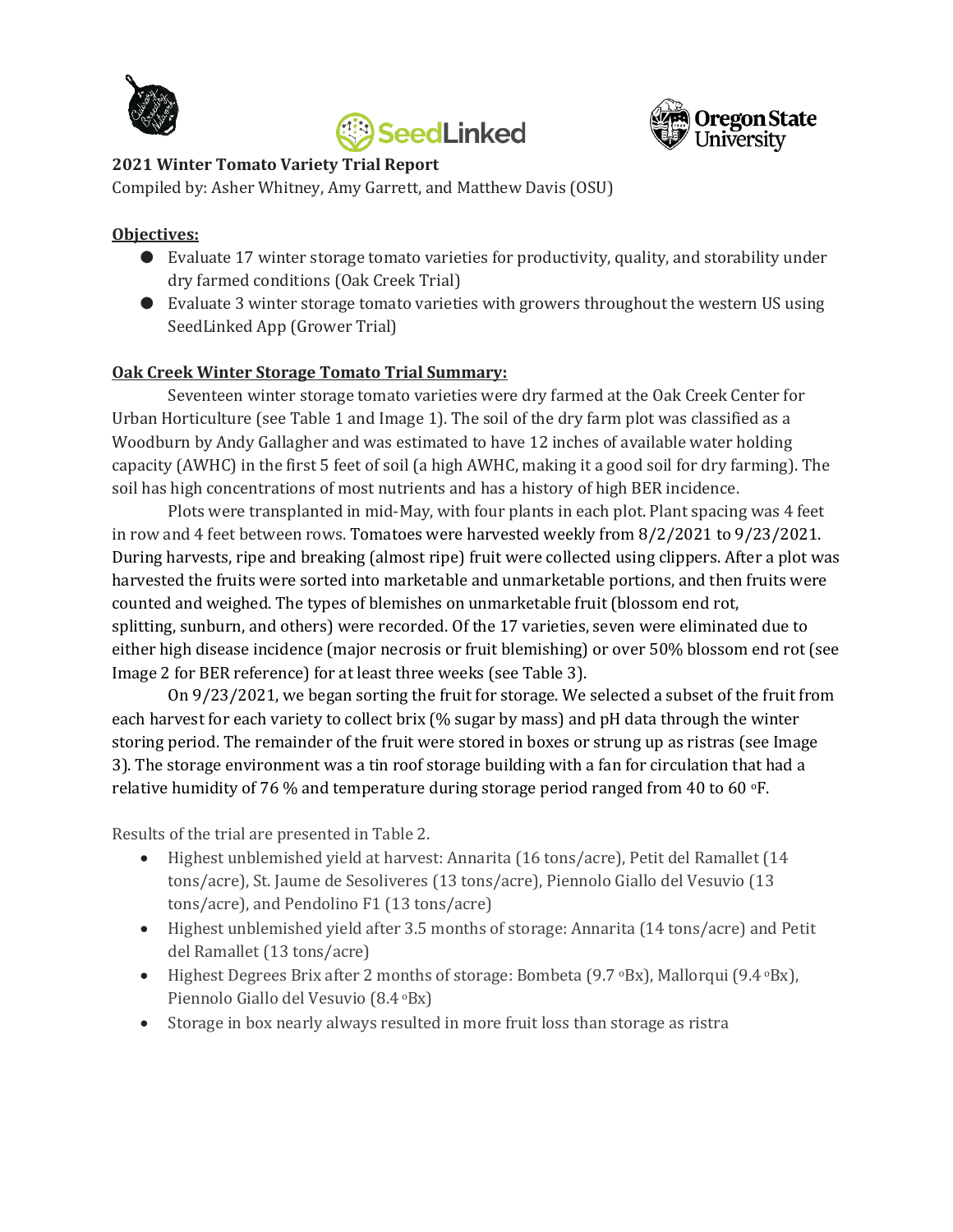





## **2021 Winter Tomato Variety Trial Report**

Compiled by: Asher Whitney, Amy Garrett, and Matthew Davis (OSU)

## **Objectives:**

- Evaluate 17 winter storage tomato varieties for productivity, quality, and storability under dry farmed conditions (Oak Creek Trial)
- Evaluate 3 winter storage tomato varieties with growers throughout the western US using SeedLinked App (Grower Trial)

# **Oak Creek Winter Storage Tomato Trial Summary:**

Seventeen winter storage tomato varieties were dry farmed at the Oak Creek Center for Urban Horticulture (see Table 1 and Image 1). The soil of the dry farm plot was classified as a Woodburn by Andy Gallagher and was estimated to have 12 inches of available water holding capacity (AWHC) in the first 5 feet of soil (a high AWHC, making it a good soil for dry farming). The soil has high concentrations of most nutrients and has a history of high BER incidence.

Plots were transplanted in mid-May, with four plants in each plot. Plant spacing was 4 feet in row and 4 feet between rows. Tomatoes were harvested weekly from 8/2/2021 to 9/23/2021. During harvests, ripe and breaking (almost ripe) fruit were collected using clippers. After a plot was harvested the fruits were sorted into marketable and unmarketable portions, and then fruits were counted and weighed. The types of blemishes on unmarketable fruit (blossom end rot, splitting, sunburn, and others) were recorded. Of the 17 varieties, seven were eliminated due to either high disease incidence (major necrosis or fruit blemishing) or over 50% blossom end rot (see Image 2 for BER reference) for at least three weeks (see Table 3).

On 9/23/2021, we began sorting the fruit for storage. We selected a subset of the fruit from each harvest for each variety to collect brix (% sugar by mass) and pH data through the winter storing period. The remainder of the fruit were stored in boxes or strung up as ristras (see Image 3). The storage environment was a tin roof storage building with a fan for circulation that had a relative humidity of 76 % and temperature during storage period ranged from 40 to 60  $\textdegree$ F.

Results of the trial are presented in Table 2.

- Highest unblemished yield at harvest: Annarita (16 tons/acre), Petit del Ramallet (14 tons/acre), St. Jaume de Sesoliveres (13 tons/acre), Piennolo Giallo del Vesuvio (13 tons/acre), and Pendolino F1 (13 tons/acre)
- Highest unblemished yield after 3.5 months of storage: Annarita (14 tons/acre) and Petit del Ramallet (13 tons/acre)
- Highest Degrees Brix after 2 months of storage: Bombeta (9.7 °Bx), Mallorqui (9.4 °Bx), Piennolo Giallo del Vesuvio (8.4 °Bx)
- Storage in box nearly always resulted in more fruit loss than storage as ristra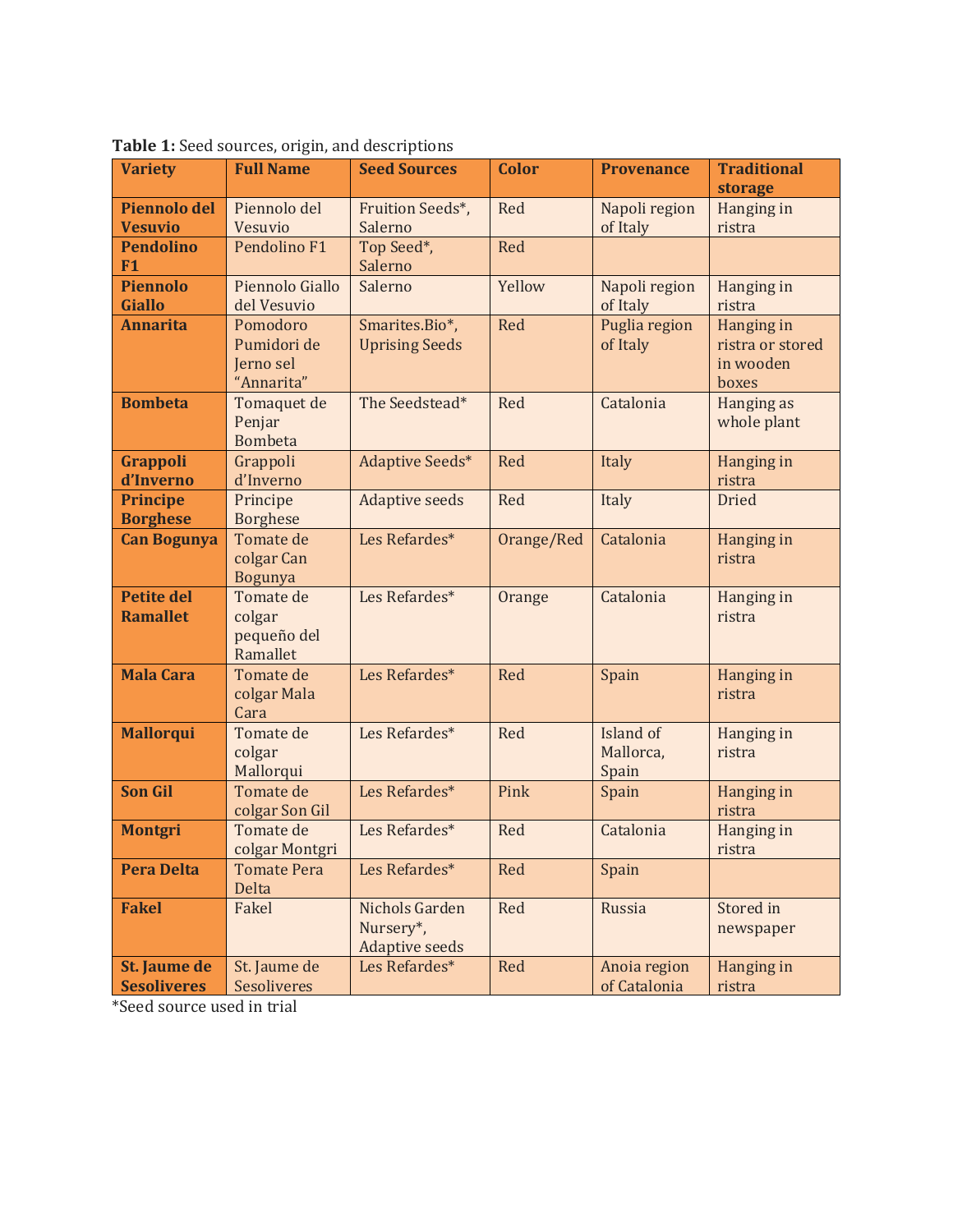| <b>Variety</b>                        | <b>Full Name</b>             | <b>Seed Sources</b>                | <b>Color</b> | <b>Provenance</b> | <b>Traditional</b>   |  |
|---------------------------------------|------------------------------|------------------------------------|--------------|-------------------|----------------------|--|
| <b>Piennolo del</b>                   | Piennolo del                 | Fruition Seeds*,                   | Red          | Napoli region     | storage              |  |
| <b>Vesuvio</b>                        | Vesuvio                      | Salerno                            |              | of Italy          | Hanging in<br>ristra |  |
| <b>Pendolino</b>                      | Pendolino F1                 | Top Seed*,                         | Red          |                   |                      |  |
| F1                                    |                              | Salerno                            |              |                   |                      |  |
| <b>Piennolo</b>                       | Piennolo Giallo              | Salerno                            | Yellow       | Napoli region     | Hanging in           |  |
| <b>Giallo</b>                         | del Vesuvio                  |                                    |              | of Italy          | ristra               |  |
| <b>Annarita</b>                       | Pomodoro                     | Smarites.Bio*,                     | Red          | Puglia region     | Hanging in           |  |
|                                       | Pumidori de                  | <b>Uprising Seeds</b>              |              | of Italy          | ristra or stored     |  |
|                                       | Jerno sel<br>"Annarita"      |                                    |              |                   | in wooden<br>boxes   |  |
| <b>Bombeta</b>                        | Tomaquet de                  | The Seedstead*                     | Red          | Catalonia         | Hanging as           |  |
|                                       | Penjar                       |                                    |              |                   | whole plant          |  |
|                                       | <b>Bombeta</b>               |                                    |              |                   |                      |  |
| <b>Grappoli</b>                       | Grappoli                     | Adaptive Seeds*                    | Red          | Italy             | Hanging in           |  |
| d'Inverno                             | d'Inverno                    |                                    |              |                   | ristra               |  |
| <b>Principe</b>                       | Principe                     | <b>Adaptive seeds</b>              | Red          | Italy             | <b>Dried</b>         |  |
| <b>Borghese</b><br><b>Can Bogunya</b> | <b>Borghese</b><br>Tomate de | Les Refardes*                      | Orange/Red   | Catalonia         | Hanging in           |  |
|                                       | colgar Can                   |                                    |              |                   | ristra               |  |
|                                       | <b>Bogunya</b>               |                                    |              |                   |                      |  |
| <b>Petite del</b>                     | Tomate de                    | Les Refardes*                      | Orange       | Catalonia         | Hanging in           |  |
| <b>Ramallet</b>                       | colgar                       |                                    |              |                   | ristra               |  |
|                                       | pequeño del<br>Ramallet      |                                    |              |                   |                      |  |
| <b>Mala Cara</b>                      | Tomate de                    | Les Refardes*                      | Red          | Spain             | Hanging in           |  |
|                                       | colgar Mala                  |                                    |              |                   | ristra               |  |
|                                       | Cara                         |                                    |              |                   |                      |  |
| <b>Mallorqui</b>                      | Tomate de                    | Les Refardes*                      | Red          | Island of         | Hanging in           |  |
|                                       | colgar                       |                                    |              | Mallorca,         | ristra               |  |
| <b>Son Gil</b>                        | Mallorqui<br>Tomate de       | Les Refardes*                      |              | Spain             |                      |  |
|                                       | colgar Son Gil               |                                    | Pink         | Spain             | Hanging in<br>ristra |  |
| <b>Montgri</b>                        | Tomate de                    | Les Refardes*                      | Red          | Catalonia         | Hanging in           |  |
|                                       | colgar Montgri               |                                    |              |                   | ristra               |  |
| <b>Pera Delta</b>                     | <b>Tomate Pera</b>           | Les Refardes*                      | Red          | Spain             |                      |  |
|                                       | Delta                        |                                    |              |                   |                      |  |
| <b>Fakel</b>                          | Fakel                        | Nichols Garden                     | Red          | Russia            | Stored in            |  |
|                                       |                              | Nursery*,<br><b>Adaptive seeds</b> |              |                   | newspaper            |  |
| St. Jaume de                          | St. Jaume de                 | Les Refardes*                      | Red          | Anoia region      | Hanging in           |  |
| <b>Sesoliveres</b>                    | Sesoliveres                  |                                    |              | of Catalonia      | ristra               |  |

**Table 1:** Seed sources, origin, and descriptions

\*Seed source used in trial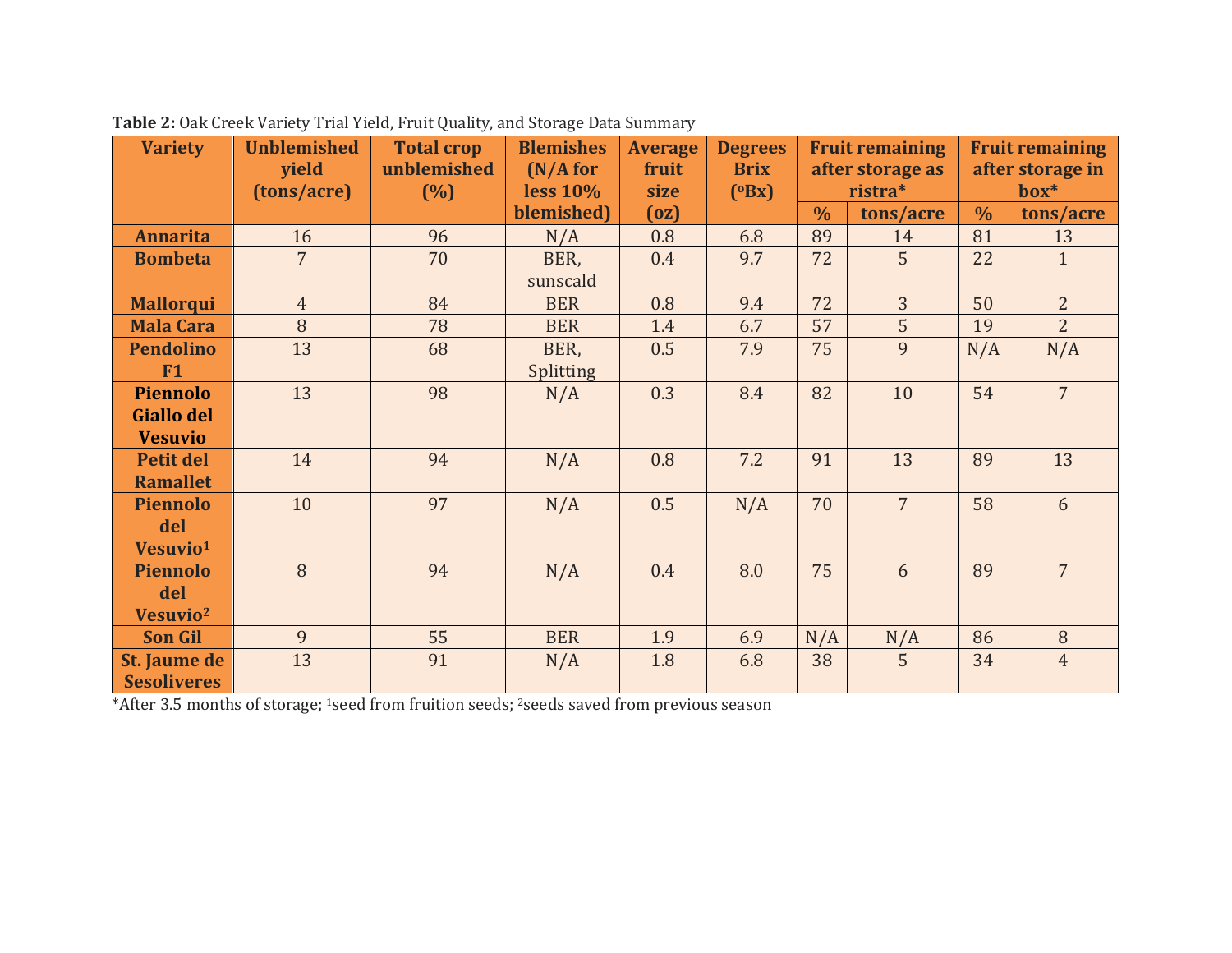| <b>Variety</b>                      | <b>Unblemished</b>   | <b>Total crop</b>  | <b>Blemishes</b>     | <b>Average</b> | <b>Degrees</b>       | <b>Fruit remaining</b>      |                | <b>Fruit remaining</b>     |                |
|-------------------------------------|----------------------|--------------------|----------------------|----------------|----------------------|-----------------------------|----------------|----------------------------|----------------|
|                                     | yield<br>(tons/acre) | unblemished<br>(%) | (N/A for<br>less 10% | fruit<br>size  | <b>Brix</b><br>(OBx) | after storage as<br>ristra* |                | after storage in<br>$box*$ |                |
|                                     |                      |                    | blemished)           | (oz)           |                      | $\frac{0}{0}$               | tons/acre      | $\frac{0}{0}$              | tons/acre      |
| <b>Annarita</b>                     | 16                   | 96                 | N/A                  | 0.8            | 6.8                  | 89                          | 14             | 81                         | 13             |
| <b>Bombeta</b>                      | $\overline{7}$       | 70                 | BER,<br>sunscald     | 0.4            | 9.7                  | 72                          | 5              | 22                         | $\mathbf{1}$   |
| <b>Mallorqui</b>                    | $\overline{4}$       | 84                 | <b>BER</b>           | 0.8            | 9.4                  | 72                          | 3              | 50                         | $\overline{2}$ |
| <b>Mala Cara</b>                    | 8                    | 78                 | <b>BER</b>           | 1.4            | 6.7                  | 57                          | 5              | 19                         | $\overline{2}$ |
| <b>Pendolino</b>                    | 13                   | 68                 | BER,                 | 0.5            | 7.9                  | 75                          | 9              | N/A                        | N/A            |
| F1                                  |                      |                    | Splitting            |                |                      |                             |                |                            |                |
| <b>Piennolo</b>                     | 13                   | 98                 | N/A                  | 0.3            | 8.4                  | 82                          | 10             | 54                         | $\overline{7}$ |
| <b>Giallo del</b><br><b>Vesuvio</b> |                      |                    |                      |                |                      |                             |                |                            |                |
| <b>Petit del</b>                    | 14                   | 94                 | N/A                  | 0.8            | 7.2                  | 91                          | 13             | 89                         | 13             |
| <b>Ramallet</b>                     |                      |                    |                      |                |                      |                             |                |                            |                |
| <b>Piennolo</b>                     | 10                   | 97                 | N/A                  | 0.5            | N/A                  | 70                          | $\overline{7}$ | 58                         | 6              |
| del                                 |                      |                    |                      |                |                      |                             |                |                            |                |
| Vesuvio <sup>1</sup>                |                      |                    |                      |                |                      |                             |                |                            |                |
| <b>Piennolo</b>                     | 8                    | 94                 | N/A                  | 0.4            | 8.0                  | 75                          | 6              | 89                         | $\overline{7}$ |
| del                                 |                      |                    |                      |                |                      |                             |                |                            |                |
| Vesuvio <sup>2</sup>                |                      |                    |                      |                |                      |                             |                |                            |                |
| <b>Son Gil</b>                      | 9                    | 55                 | <b>BER</b>           | 1.9            | 6.9                  | N/A                         | N/A            | 86                         | 8              |
| St. Jaume de                        | 13                   | 91                 | N/A                  | 1.8            | 6.8                  | 38                          | 5              | 34                         | $\overline{4}$ |
| <b>Sesoliveres</b>                  |                      |                    |                      |                |                      |                             |                |                            |                |

**Table 2:** Oak Creek Variety Trial Yield, Fruit Quality, and Storage Data Summary

\*After 3.5 months of storage; 1seed from fruition seeds; 2seeds saved from previous season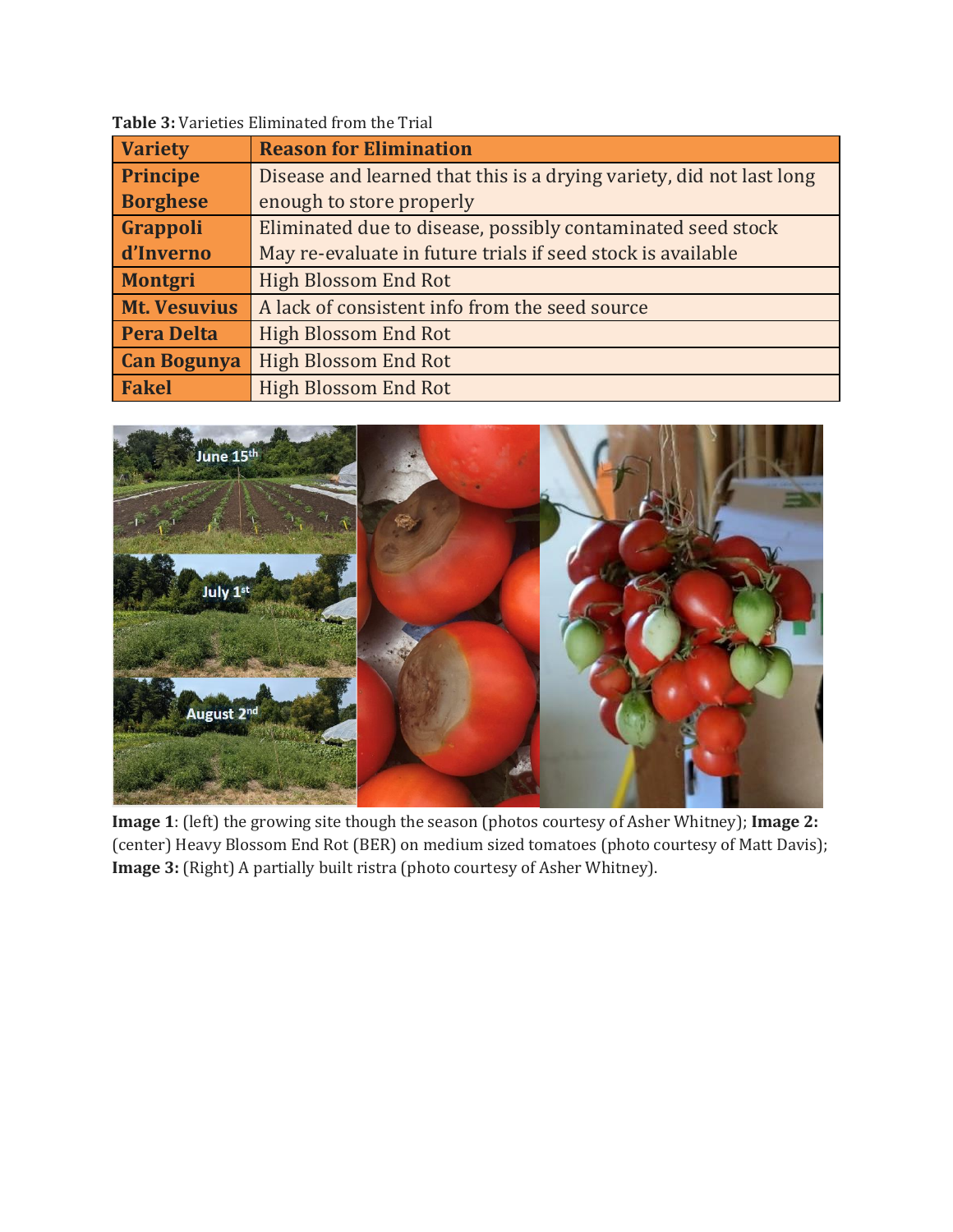| <b>Variety</b>      | <b>Reason for Elimination</b>                                        |
|---------------------|----------------------------------------------------------------------|
| <b>Principe</b>     | Disease and learned that this is a drying variety, did not last long |
| <b>Borghese</b>     | enough to store properly                                             |
| Grappoli            | Eliminated due to disease, possibly contaminated seed stock          |
| d'Inverno           | May re-evaluate in future trials if seed stock is available          |
| <b>Montgri</b>      | <b>High Blossom End Rot</b>                                          |
| <b>Mt. Vesuvius</b> | A lack of consistent info from the seed source                       |
| <b>Pera Delta</b>   | <b>High Blossom End Rot</b>                                          |
| <b>Can Bogunya</b>  | <b>High Blossom End Rot</b>                                          |
| <b>Fakel</b>        | <b>High Blossom End Rot</b>                                          |

**Table 3:** Varieties Eliminated from the Trial



**Image 1**: (left) the growing site though the season (photos courtesy of Asher Whitney); **Image 2:** (center) Heavy Blossom End Rot (BER) on medium sized tomatoes (photo courtesy of Matt Davis); **Image 3:** (Right) A partially built ristra (photo courtesy of Asher Whitney).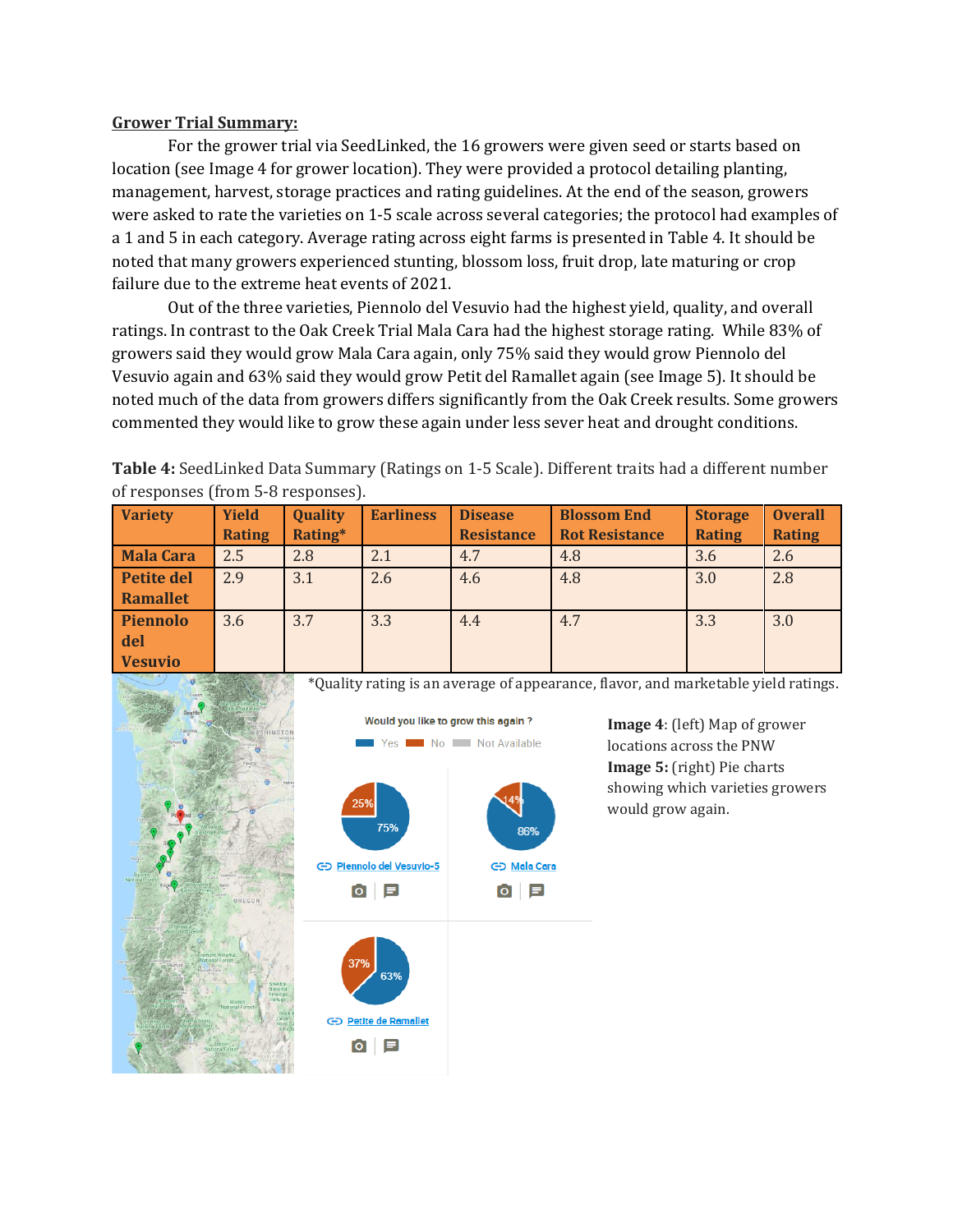## **Grower Trial Summary:**

For the grower trial via SeedLinked, the 16 growers were given seed or starts based on location (see Image 4 for grower location). They were provided a protocol detailing planting, management, harvest, storage practices and rating guidelines. At the end of the season, growers were asked to rate the varieties on 1-5 scale across several categories; the protocol had examples of a 1 and 5 in each category. Average rating across eight farms is presented in Table 4. It should be noted that many growers experienced stunting, blossom loss, fruit drop, late maturing or crop failure due to the extreme heat events of 2021.

Out of the three varieties, Piennolo del Vesuvio had the highest yield, quality, and overall ratings. In contrast to the Oak Creek Trial Mala Cara had the highest storage rating. While 83% of growers said they would grow Mala Cara again, only 75% said they would grow Piennolo del Vesuvio again and 63% said they would grow Petit del Ramallet again (see Image 5). It should be noted much of the data from growers differs significantly from the Oak Creek results. Some growers commented they would like to grow these again under less sever heat and drought conditions.

**Table 4:** SeedLinked Data Summary (Ratings on 1-5 Scale). Different traits had a different number of responses (from 5-8 responses).

| <b>Variety</b>    | <b>Yield</b><br><b>Rating</b> | Quality<br>Rating* | <b>Earliness</b> | <b>Disease</b><br><b>Resistance</b> | <b>Blossom End</b><br><b>Rot Resistance</b> | <b>Storage</b><br><b>Rating</b> | <b>Overall</b><br><b>Rating</b> |
|-------------------|-------------------------------|--------------------|------------------|-------------------------------------|---------------------------------------------|---------------------------------|---------------------------------|
| <b>Mala Cara</b>  | 2.5                           | 2.8                | 2.1              | 4.7                                 | 4.8                                         | 3.6                             | 2.6                             |
| <b>Petite del</b> | 2.9                           | 3.1                | 2.6              | 4.6                                 | 4.8                                         | 3.0                             | 2.8                             |
| Ramallet          |                               |                    |                  |                                     |                                             |                                 |                                 |
| <b>Piennolo</b>   | 3.6                           | 3.7                | 3.3              | 4.4                                 | 4.7                                         | 3.3                             | 3.0                             |
| del               |                               |                    |                  |                                     |                                             |                                 |                                 |
| <b>Vesuvio</b>    |                               |                    |                  |                                     |                                             |                                 |                                 |

\*Quality rating is an average of appearance, flavor, and marketable yield ratings.



**Image 4**: (left) Map of grower locations across the PNW **Image 5:** (right) Pie charts showing which varieties growers would grow again.